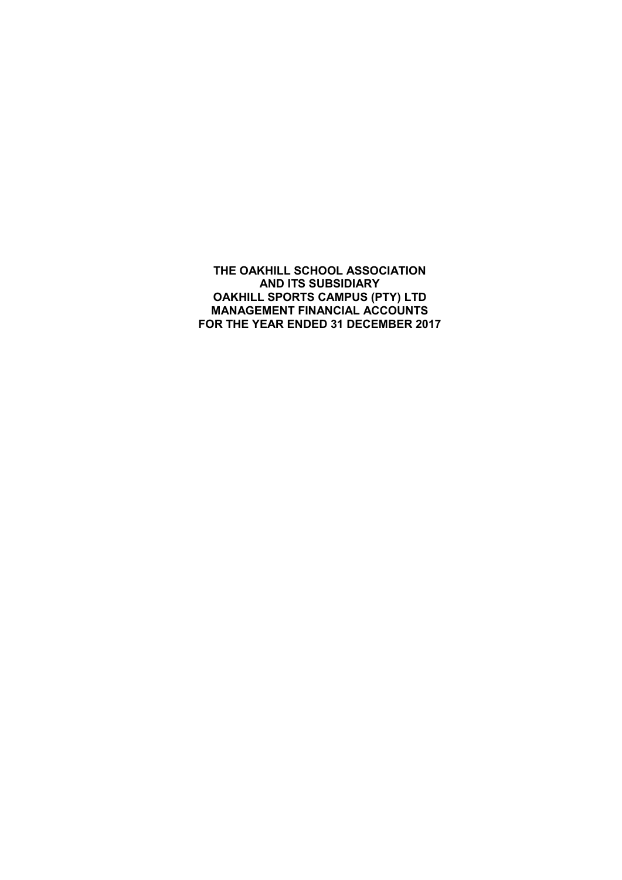THE OAKHILL SCHOOL ASSOCIATION AND ITS SUBSIDIARY OAKHILL SPORTS CAMPUS (PTY) LTD MANAGEMENT FINANCIAL ACCOUNTS FOR THE YEAR ENDED 31 DECEMBER 2017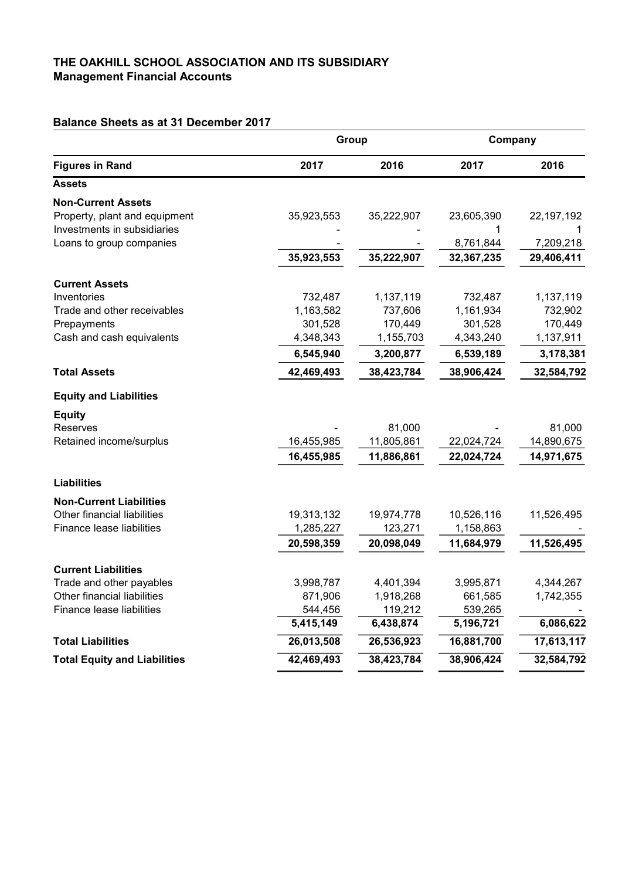### THE OAKHILL SCHOOL ASSOCIATION AND ITS SUBSIDIARY Management Financial Accounts

## Balance Sheets as at 31 December 2017

| <b>Figures in Rand</b>              | Group      |            | Company    |            |
|-------------------------------------|------------|------------|------------|------------|
|                                     | 2017       | 2016       | 2017       | 2016       |
| <b>Assets</b>                       |            |            |            |            |
| <b>Non-Current Assets</b>           |            |            |            |            |
| Property, plant and equipment       | 35,923,553 | 35,222,907 | 23,605,390 | 22,197,192 |
| Investments in subsidiaries         |            |            | 1          |            |
| Loans to group companies            |            |            | 8,761,844  | 7,209,218  |
|                                     | 35,923,553 | 35,222,907 | 32,367,235 | 29,406,411 |
| <b>Current Assets</b>               |            |            |            |            |
| Inventories                         | 732,487    | 1,137,119  | 732,487    | 1,137,119  |
| Trade and other receivables         | 1,163,582  | 737,606    | 1,161,934  | 732,902    |
| Prepayments                         | 301,528    | 170,449    | 301,528    | 170,449    |
| Cash and cash equivalents           | 4,348,343  | 1,155,703  | 4,343,240  | 1,137,911  |
|                                     | 6,545,940  | 3,200,877  | 6,539,189  | 3,178,381  |
| <b>Total Assets</b>                 | 42,469,493 | 38,423,784 | 38,906,424 | 32,584,792 |
| <b>Equity and Liabilities</b>       |            |            |            |            |
| <b>Equity</b>                       |            |            |            |            |
| <b>Reserves</b>                     |            | 81,000     |            | 81,000     |
| Retained income/surplus             | 16,455,985 | 11,805,861 | 22,024,724 | 14,890,675 |
|                                     | 16,455,985 | 11,886,861 | 22,024,724 | 14,971,675 |
| <b>Liabilities</b>                  |            |            |            |            |
| <b>Non-Current Liabilities</b>      |            |            |            |            |
| Other financial liabilities         | 19,313,132 | 19,974,778 | 10,526,116 | 11,526,495 |
| Finance lease liabilities           | 1,285,227  | 123,271    | 1,158,863  |            |
|                                     | 20,598,359 | 20,098,049 | 11,684,979 | 11,526,495 |
| <b>Current Liabilities</b>          |            |            |            |            |
| Trade and other payables            | 3,998,787  | 4,401,394  | 3,995,871  | 4,344,267  |
| Other financial liabilities         | 871,906    | 1,918,268  | 661,585    | 1,742,355  |
| Finance lease liabilities           | 544,456    | 119,212    | 539,265    |            |
|                                     | 5,415,149  | 6,438,874  | 5,196,721  | 6,086,622  |
| <b>Total Liabilities</b>            | 26,013,508 | 26,536,923 | 16,881,700 | 17,613,117 |
| <b>Total Equity and Liabilities</b> | 42,469,493 | 38,423,784 | 38,906,424 | 32,584,792 |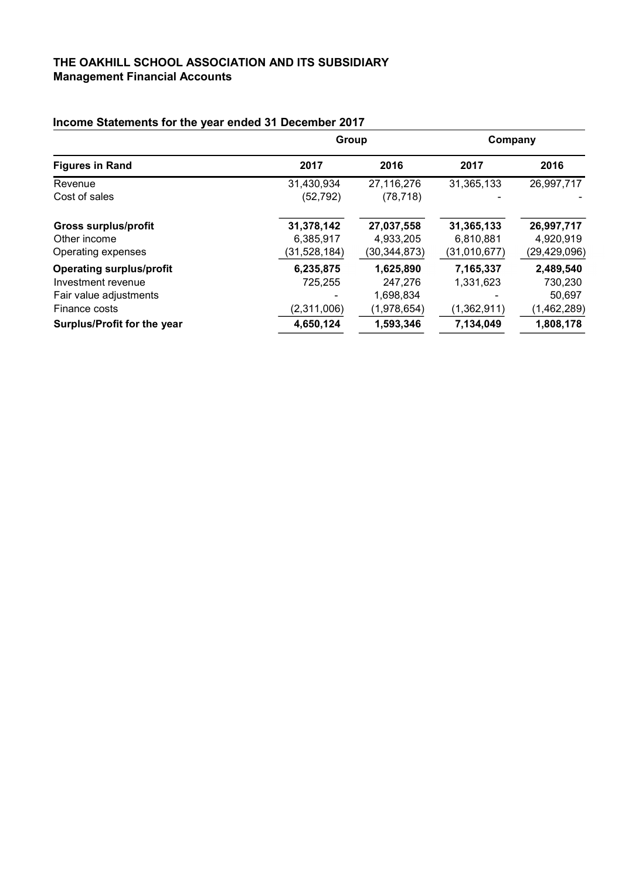### THE OAKHILL SCHOOL ASSOCIATION AND ITS SUBSIDIARY Management Financial Accounts

|                                 | Group        |                | Company      |              |
|---------------------------------|--------------|----------------|--------------|--------------|
| <b>Figures in Rand</b>          | 2017         | 2016           | 2017         | 2016         |
| Revenue                         | 31,430,934   | 27,116,276     | 31,365,133   | 26,997,717   |
| Cost of sales                   | (52, 792)    | (78, 718)      |              |              |
| <b>Gross surplus/profit</b>     | 31,378,142   | 27,037,558     | 31,365,133   | 26,997,717   |
| Other income                    | 6,385,917    | 4,933,205      | 6,810,881    | 4,920,919    |
| Operating expenses              | (31,528,184) | (30, 344, 873) | (31,010,677) | (29,429,096) |
| <b>Operating surplus/profit</b> | 6,235,875    | 1,625,890      | 7,165,337    | 2,489,540    |
| Investment revenue              | 725,255      | 247,276        | 1,331,623    | 730,230      |
| Fair value adjustments          |              | 1,698,834      |              | 50,697       |
| Finance costs                   | (2,311,006)  | (1,978,654)    | (1,362,911)  | (1,462,289)  |
| Surplus/Profit for the year     | 4,650,124    | 1,593,346      | 7,134,049    | 1,808,178    |

# Income Statements for the year ended 31 December 2017